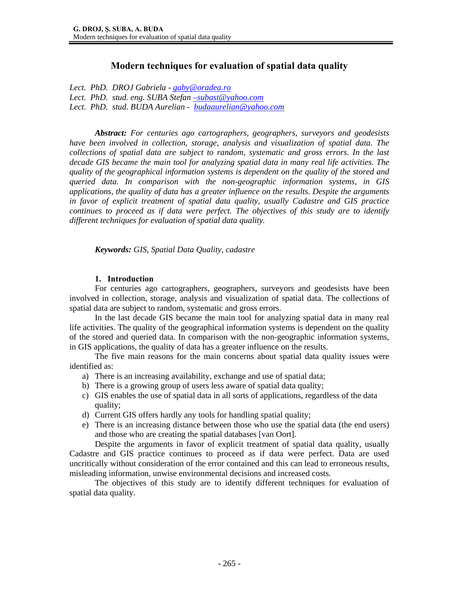# **Modern techniques for evaluation of spatial data quality**

*Lect. PhD. DROJ Gabriela - gaby@oradea.ro Lect. PhD. stud. eng. SUBA Stefan –subast@yahoo.com Lect. PhD. stud. BUDA Aurelian - budaaurelian@yahoo.com* 

*Abstract: For centuries ago cartographers, geographers, surveyors and geodesists have been involved in collection, storage, analysis and visualization of spatial data. The collections of spatial data are subject to random, systematic and gross errors. In the last decade GIS became the main tool for analyzing spatial data in many real life activities. The quality of the geographical information systems is dependent on the quality of the stored and queried data. In comparison with the non-geographic information systems, in GIS applications, the quality of data has a greater influence on the results. Despite the arguments in favor of explicit treatment of spatial data quality, usually Cadastre and GIS practice continues to proceed as if data were perfect. The objectives of this study are to identify different techniques for evaluation of spatial data quality.* 

*Keywords: GIS, Spatial Data Quality, cadastre* 

#### **1. Introduction**

For centuries ago cartographers, geographers, surveyors and geodesists have been involved in collection, storage, analysis and visualization of spatial data. The collections of spatial data are subject to random, systematic and gross errors.

In the last decade GIS became the main tool for analyzing spatial data in many real life activities. The quality of the geographical information systems is dependent on the quality of the stored and queried data. In comparison with the non-geographic information systems, in GIS applications, the quality of data has a greater influence on the results.

The five main reasons for the main concerns about spatial data quality issues were identified as:

- a) There is an increasing availability, exchange and use of spatial data;
- b) There is a growing group of users less aware of spatial data quality;
- c) GIS enables the use of spatial data in all sorts of applications, regardless of the data quality;
- d) Current GIS offers hardly any tools for handling spatial quality;
- e) There is an increasing distance between those who use the spatial data (the end users) and those who are creating the spatial databases [van Oort].

Despite the arguments in favor of explicit treatment of spatial data quality, usually Cadastre and GIS practice continues to proceed as if data were perfect. Data are used uncritically without consideration of the error contained and this can lead to erroneous results, misleading information, unwise environmental decisions and increased costs.

The objectives of this study are to identify different techniques for evaluation of spatial data quality.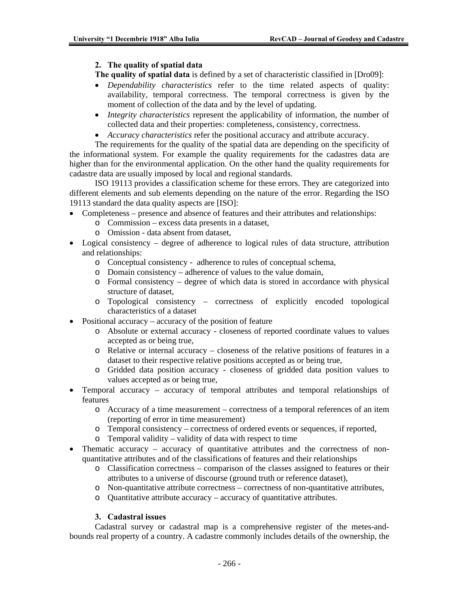### **2. The quality of spatial data**

**The quality of spatial data** is defined by a set of characteristic classified in [Dro09]:

- *Dependability characteristics* refer to the time related aspects of quality: availability, temporal correctness. The temporal correctness is given by the moment of collection of the data and by the level of updating.
- *Integrity characteristics* represent the applicability of information, the number of collected data and their properties: completeness, consistency, correctness.
- *Accuracy characteristics* refer the positional accuracy and attribute accuracy.

The requirements for the quality of the spatial data are depending on the specificity of the informational system. For example the quality requirements for the cadastres data are higher than for the environmental application. On the other hand the quality requirements for cadastre data are usually imposed by local and regional standards.

ISO 19113 provides a classification scheme for these errors. They are categorized into different elements and sub elements depending on the nature of the error. Regarding the ISO 19113 standard the data quality aspects are [ISO]:

- Completeness presence and absence of features and their attributes and relationships:
	- o Commission excess data presents in a dataset,
	- o Omission data absent from dataset,
- Logical consistency degree of adherence to logical rules of data structure, attribution and relationships:
	- o Conceptual consistency adherence to rules of conceptual schema,
	- o Domain consistency adherence of values to the value domain,
	- o Formal consistency degree of which data is stored in accordance with physical structure of dataset,
	- o Topological consistency correctness of explicitly encoded topological characteristics of a dataset
- Positional accuracy accuracy of the position of feature
	- o Absolute or external accuracy closeness of reported coordinate values to values accepted as or being true,
	- o Relative or internal accuracy closeness of the relative positions of features in a dataset to their respective relative positions accepted as or being true,
	- o Gridded data position accuracy closeness of gridded data position values to values accepted as or being true,
- Temporal accuracy accuracy of temporal attributes and temporal relationships of features
	- o Accuracy of a time measurement correctness of a temporal references of an item (reporting of error in time measurement)
	- o Temporal consistency correctness of ordered events or sequences, if reported,
	- o Temporal validity validity of data with respect to time
- Thematic accuracy accuracy of quantitative attributes and the correctness of nonquantitative attributes and of the classifications of features and their relationships
	- o Classification correctness comparison of the classes assigned to features or their attributes to a universe of discourse (ground truth or reference dataset),
	- o Non-quantitative attribute correctness correctness of non-quantitative attributes,
	- o Quantitative attribute accuracy accuracy of quantitative attributes.

# **3. Cadastral issues**

Cadastral survey or cadastral map is a comprehensive register of the metes-andbounds real property of a country. A cadastre commonly includes details of the ownership, the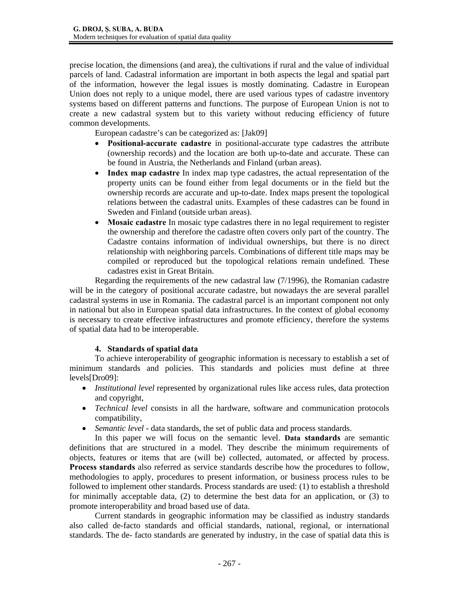precise location, the dimensions (and area), the cultivations if rural and the value of individual parcels of land. Cadastral information are important in both aspects the legal and spatial part of the information, however the legal issues is mostly dominating. Cadastre in European Union does not reply to a unique model, there are used various types of cadastre inventory systems based on different patterns and functions. The purpose of European Union is not to create a new cadastral system but to this variety without reducing efficiency of future common developments.

European cadastre's can be categorized as: [Jak09]

- **Positional-accurate cadastre** in positional-accurate type cadastres the attribute (ownership records) and the location are both up-to-date and accurate. These can be found in Austria, the Netherlands and Finland (urban areas).
- **Index map cadastre** In index map type cadastres, the actual representation of the property units can be found either from legal documents or in the field but the ownership records are accurate and up-to-date. Index maps present the topological relations between the cadastral units. Examples of these cadastres can be found in Sweden and Finland (outside urban areas).
- Mosaic cadastre In mosaic type cadastres there in no legal requirement to register the ownership and therefore the cadastre often covers only part of the country. The Cadastre contains information of individual ownerships, but there is no direct relationship with neighboring parcels. Combinations of different title maps may be compiled or reproduced but the topological relations remain undefined. These cadastres exist in Great Britain.

Regarding the requirements of the new cadastral law (7/1996), the Romanian cadastre will be in the category of positional accurate cadastre, but nowadays the are several parallel cadastral systems in use in Romania. The cadastral parcel is an important component not only in national but also in European spatial data infrastructures. In the context of global economy is necessary to create effective infrastructures and promote efficiency, therefore the systems of spatial data had to be interoperable.

# **4. Standards of spatial data**

To achieve interoperability of geographic information is necessary to establish a set of minimum standards and policies. This standards and policies must define at three levels[Dro09]:

- *Institutional level* represented by organizational rules like access rules, data protection and copyright,
- *Technical level* consists in all the hardware, software and communication protocols compatibility,
- *Semantic level* data standards, the set of public data and process standards.

In this paper we will focus on the semantic level. **Data standards** are semantic definitions that are structured in a model. They describe the minimum requirements of objects, features or items that are (will be) collected, automated, or affected by process. **Process standards** also referred as service standards describe how the procedures to follow, methodologies to apply, procedures to present information, or business process rules to be followed to implement other standards. Process standards are used: (1) to establish a threshold for minimally acceptable data, (2) to determine the best data for an application, or (3) to promote interoperability and broad based use of data.

Current standards in geographic information may be classified as industry standards also called de-facto standards and official standards, national, regional, or international standards. The de- facto standards are generated by industry, in the case of spatial data this is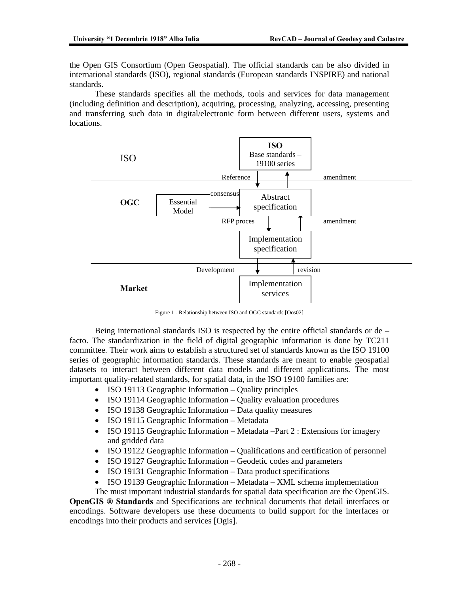the Open GIS Consortium (Open Geospatial). The official standards can be also divided in international standards (ISO), regional standards (European standards INSPIRE) and national standards.

These standards specifies all the methods, tools and services for data management (including definition and description), acquiring, processing, analyzing, accessing, presenting and transferring such data in digital/electronic form between different users, systems and locations.



Figure 1 - Relationship between ISO and OGC standards [Oos02]

Being international standards ISO is respected by the entire official standards or de – facto. The standardization in the field of digital geographic information is done by TC211 committee. Their work aims to establish a structured set of standards known as the ISO 19100 series of geographic information standards. These standards are meant to enable geospatial datasets to interact between different data models and different applications. The most important quality-related standards, for spatial data, in the ISO 19100 families are:

- ISO 19113 Geographic Information Quality principles
- ISO 19114 Geographic Information Quality evaluation procedures
- ISO 19138 Geographic Information Data quality measures
- ISO 19115 Geographic Information Metadata
- ISO 19115 Geographic Information Metadata –Part 2 : Extensions for imagery and gridded data
- ISO 19122 Geographic Information Qualifications and certification of personnel
- ISO 19127 Geographic Information Geodetic codes and parameters
- ISO 19131 Geographic Information Data product specifications
- ISO 19139 Geographic Information Metadata XML schema implementation
- The must important industrial standards for spatial data specification are the OpenGIS.

**OpenGIS ® Standards** and Specifications are technical documents that detail interfaces or encodings. Software developers use these documents to build support for the interfaces or encodings into their products and services [Ogis].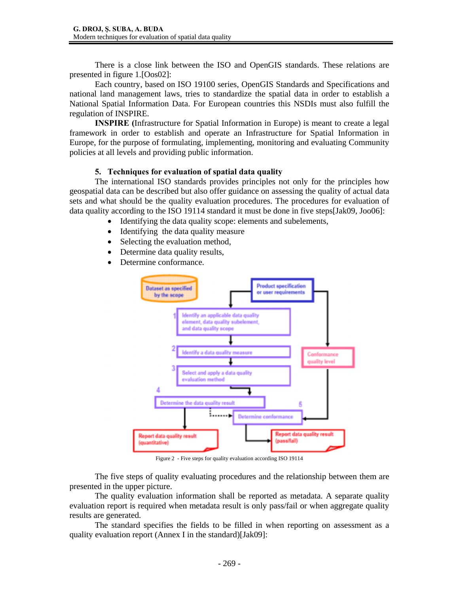There is a close link between the ISO and OpenGIS standards. These relations are presented in figure 1.[Oos02]:

Each country, based on ISO 19100 series, OpenGIS Standards and Specifications and national land management laws, tries to standardize the spatial data in order to establish a National Spatial Information Data. For European countries this NSDIs must also fulfill the regulation of INSPIRE.

**INSPIRE (**Infrastructure for Spatial Information in Europe) is meant to create a legal framework in order to establish and operate an Infrastructure for Spatial Information in Europe, for the purpose of formulating, implementing, monitoring and evaluating Community policies at all levels and providing public information.

#### **5. Techniques for evaluation of spatial data quality**

The international ISO standards provides principles not only for the principles how geospatial data can be described but also offer guidance on assessing the quality of actual data sets and what should be the quality evaluation procedures. The procedures for evaluation of data quality according to the ISO 19114 standard it must be done in five steps[Jak09, Joo06]:

- Identifying the data quality scope: elements and subelements,
- Identifying the data quality measure
- Selecting the evaluation method,
- Determine data quality results,
- Determine conformance.



Figure 2 - Five steps for quality evaluation according ISO 19114

The five steps of quality evaluating procedures and the relationship between them are presented in the upper picture.

The quality evaluation information shall be reported as metadata. A separate quality evaluation report is required when metadata result is only pass/fail or when aggregate quality results are generated.

The standard specifies the fields to be filled in when reporting on assessment as a quality evaluation report (Annex I in the standard)[Jak09]: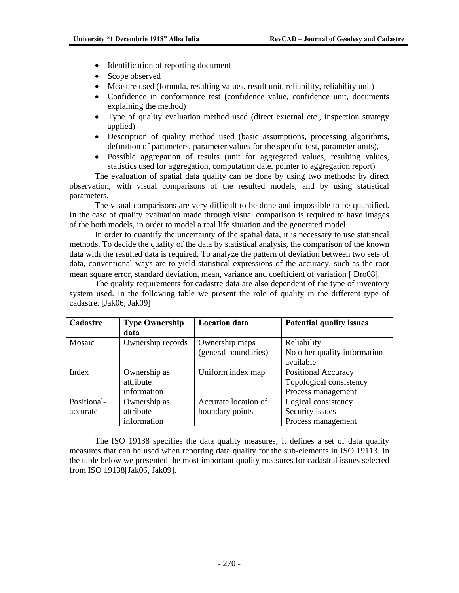- Identification of reporting document
- Scope observed
- Measure used (formula, resulting values, result unit, reliability, reliability unit)
- Confidence in conformance test (confidence value, confidence unit, documents explaining the method)
- Type of quality evaluation method used (direct external etc., inspection strategy applied)
- Description of quality method used (basic assumptions, processing algorithms, definition of parameters, parameter values for the specific test, parameter units),
- Possible aggregation of results (unit for aggregated values, resulting values, statistics used for aggregation, computation date, pointer to aggregation report)

The evaluation of spatial data quality can be done by using two methods: by direct observation, with visual comparisons of the resulted models, and by using statistical parameters.

The visual comparisons are very difficult to be done and impossible to be quantified. In the case of quality evaluation made through visual comparison is required to have images of the both models, in order to model a real life situation and the generated model.

In order to quantify the uncertainty of the spatial data, it is necessary to use statistical methods. To decide the quality of the data by statistical analysis, the comparison of the known data with the resulted data is required. To analyze the pattern of deviation between two sets of data, conventional ways are to yield statistical expressions of the accuracy, such as the root mean square error, standard deviation, mean, variance and coefficient of variation [ Dro08].

The quality requirements for cadastre data are also dependent of the type of inventory system used. In the following table we present the role of quality in the different type of cadastre. [Jak06, Jak09]

| Cadastre    | <b>Type Ownership</b> | <b>Location</b> data | <b>Potential quality issues</b>             |  |
|-------------|-----------------------|----------------------|---------------------------------------------|--|
|             | data                  |                      |                                             |  |
| Mosaic      | Ownership records     | Ownership maps       | Reliability<br>No other quality information |  |
|             |                       | (general boundaries) |                                             |  |
|             |                       |                      | available                                   |  |
| Index       | Ownership as          | Uniform index map    | <b>Positional Accuracy</b>                  |  |
|             | attribute             |                      | Topological consistency                     |  |
|             | information           |                      | Process management                          |  |
| Positional- | Ownership as          | Accurate location of | Logical consistency                         |  |
| accurate    | attribute             | boundary points      | Security issues                             |  |
|             | information           |                      | Process management                          |  |

The ISO 19138 specifies the data quality measures; it defines a set of data quality measures that can be used when reporting data quality for the sub-elements in ISO 19113. In the table below we presented the most important quality measures for cadastral issues selected from ISO 19138[Jak06, Jak09].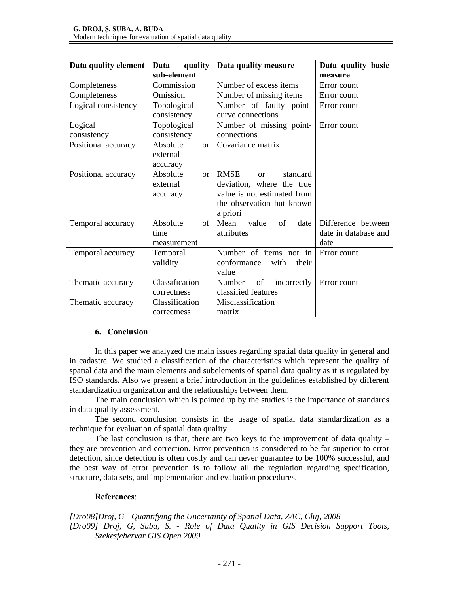| Data quality element | Data<br>quality           | Data quality measure                     | Data quality basic   |
|----------------------|---------------------------|------------------------------------------|----------------------|
|                      | sub-element               |                                          | measure              |
| Completeness         | Commission                | Number of excess items                   | Error count          |
| Completeness         | Omission                  | Number of missing items                  | Error count          |
| Logical consistency  | Topological               | Number of faulty point-                  | Error count          |
|                      | consistency               | curve connections                        |                      |
| Logical              | Topological               | Number of missing point-                 | Error count          |
| consistency          | consistency               | connections                              |                      |
| Positional accuracy  | Absolute<br>$\alpha$      | Covariance matrix                        |                      |
|                      | external                  |                                          |                      |
|                      | accuracy                  |                                          |                      |
| Positional accuracy  | Absolute<br><sub>or</sub> | <b>RMSE</b><br>standard<br><sub>or</sub> |                      |
|                      | external                  | deviation, where the true                |                      |
|                      | accuracy                  | value is not estimated from              |                      |
|                      |                           | the observation but known                |                      |
|                      |                           | a priori                                 |                      |
| Temporal accuracy    | Absolute<br>of            | of<br>date<br>Mean<br>value              | Difference between   |
|                      | time                      | attributes                               | date in database and |
|                      | measurement               |                                          | date                 |
| Temporal accuracy    | Temporal                  | Number of items not in                   | Error count          |
|                      | validity                  | conformance<br>with<br>their             |                      |
|                      |                           | value                                    |                      |
| Thematic accuracy    | Classification            | of<br>Number<br>incorrectly              | Error count          |
|                      | correctness               | classified features                      |                      |
| Thematic accuracy    | Classification            | Misclassification                        |                      |
|                      | correctness               | matrix                                   |                      |

# **6. Conclusion**

In this paper we analyzed the main issues regarding spatial data quality in general and in cadastre. We studied a classification of the characteristics which represent the quality of spatial data and the main elements and subelements of spatial data quality as it is regulated by ISO standards. Also we present a brief introduction in the guidelines established by different standardization organization and the relationships between them.

The main conclusion which is pointed up by the studies is the importance of standards in data quality assessment.

The second conclusion consists in the usage of spatial data standardization as a technique for evaluation of spatial data quality.

The last conclusion is that, there are two keys to the improvement of data quality  $$ they are prevention and correction. Error prevention is considered to be far superior to error detection, since detection is often costly and can never guarantee to be 100% successful, and the best way of error prevention is to follow all the regulation regarding specification, structure, data sets, and implementation and evaluation procedures.

#### **References**:

*[Dro08]Droj, G - Quantifying the Uncertainty of Spatial Data, ZAC, Cluj, 2008 [Dro09] Droj, G, Suba, S. - Role of Data Quality in GIS Decision Support Tools, Szekesfehervar GIS Open 2009*